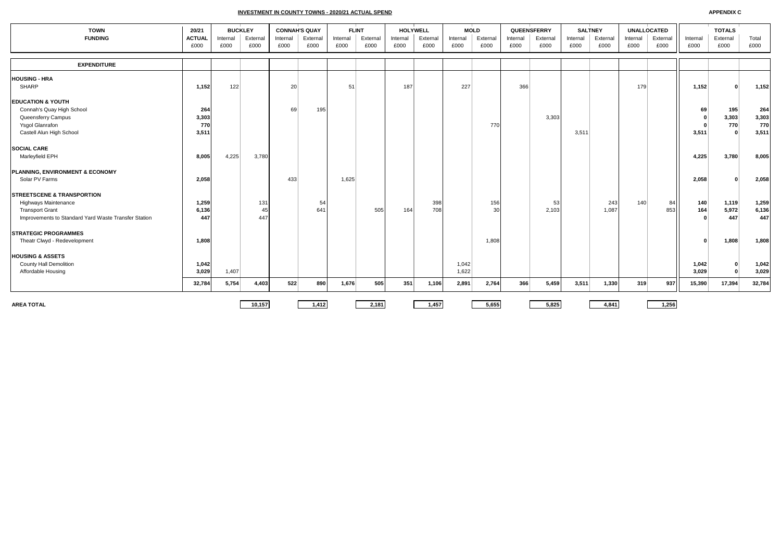**INVESTMENT IN COUNTY TOWNS - 2020/21 ACTUAL SPEND**

| <b>TOWN</b>                                          | 20/21         | <b>BUCKLEY</b> |         | <b>CONNAH'S QUAY</b> |          |          | <b>FLINT</b> |          | <b>HOLYWELL</b> |          | <b>MOLD</b> |          | QUEENSFERRY | <b>SALTNEY</b> |          | UNALLOCATED |          |          | <b>TOTALS</b> |        |
|------------------------------------------------------|---------------|----------------|---------|----------------------|----------|----------|--------------|----------|-----------------|----------|-------------|----------|-------------|----------------|----------|-------------|----------|----------|---------------|--------|
| <b>FUNDING</b>                                       | <b>ACTUAL</b> | Internal       | Externa | Internal             | External | Internal | External     | Internal | External        | Internal | External    | Internal | External    | Internal       | External | Internal    | External | Internal | External      | Total  |
|                                                      | £000          | £000           | £000    | £000                 | £000     | £000     | £000         | £000     | £000            | £000     | £000        | £000     | £000        | £000           | £000     | £000        | £000     | £000     | £000          | £000   |
| <b>EXPENDITURE</b>                                   |               |                |         |                      |          |          |              |          |                 |          |             |          |             |                |          |             |          |          |               |        |
| <b>HOUSING - HRA</b>                                 |               |                |         |                      |          |          |              |          |                 |          |             |          |             |                |          |             |          |          |               |        |
| SHARP                                                | 1,152         | 122            |         | 20                   |          | 51       |              | 187      |                 | 227      |             | 366      |             |                |          | 179         |          | 1,152    |               | 1,152  |
| <b>EDUCATION &amp; YOUTH</b>                         |               |                |         |                      |          |          |              |          |                 |          |             |          |             |                |          |             |          |          |               |        |
| Connah's Quay High School                            | 264           |                |         | 69                   | 195      |          |              |          |                 |          |             |          |             |                |          |             |          | 69       | 195           | 264    |
| Queensferry Campus                                   | 3,303         |                |         |                      |          |          |              |          |                 |          |             |          | 3,303       |                |          |             |          | $\Omega$ | 3,303         | 3,303  |
| Ysgol Glanrafon                                      | 770           |                |         |                      |          |          |              |          |                 |          | 770         |          |             |                |          |             |          |          | 770           | 770    |
| Castell Alun High School                             | 3,511         |                |         |                      |          |          |              |          |                 |          |             |          |             | 3,511          |          |             |          | 3,511    | $\Omega$      | 3,511  |
| <b>SOCIAL CARE</b>                                   |               |                |         |                      |          |          |              |          |                 |          |             |          |             |                |          |             |          |          |               |        |
| Marleyfield EPH                                      | 8,005         | 4,225          | 3,780   |                      |          |          |              |          |                 |          |             |          |             |                |          |             |          | 4,225    | 3,780         | 8,005  |
| PLANNING, ENVIRONMENT & ECONOMY                      |               |                |         |                      |          |          |              |          |                 |          |             |          |             |                |          |             |          |          |               |        |
| Solar PV Farms                                       | 2,058         |                |         | 433                  |          | 1,625    |              |          |                 |          |             |          |             |                |          |             |          | 2,058    | $\sqrt{2}$    | 2,058  |
| <b>ISTREETSCENE &amp; TRANSPORTION</b>               |               |                |         |                      |          |          |              |          |                 |          |             |          |             |                |          |             |          |          |               |        |
| <b>Highways Maintenance</b>                          | 1,259         |                | 131     |                      | 54       |          |              |          | 398             |          | 156         |          | 53          |                | 243      | 140         | 84       | 140      | 1,119         | 1,259  |
| <b>Transport Grant</b>                               | 6,136         |                | 45      |                      | 641      |          | 505          | 164      | 708             |          | 30          |          | 2,103       |                | 1,087    |             | 853      | 164      | 5,972         | 6,136  |
| Improvements to Standard Yard Waste Transfer Station | 447           |                | 447     |                      |          |          |              |          |                 |          |             |          |             |                |          |             |          |          | 447           | 447    |
| <b>STRATEGIC PROGRAMMES</b>                          |               |                |         |                      |          |          |              |          |                 |          |             |          |             |                |          |             |          |          |               |        |
| Theatr Clwyd - Redevelopment                         | 1,808         |                |         |                      |          |          |              |          |                 |          | 1,808       |          |             |                |          |             |          | $\Omega$ | 1,808         | 1,808  |
| <b>HOUSING &amp; ASSETS</b>                          |               |                |         |                      |          |          |              |          |                 |          |             |          |             |                |          |             |          |          |               |        |
| <b>County Hall Demolition</b>                        | 1,042         |                |         |                      |          |          |              |          |                 | 1,042    |             |          |             |                |          |             |          | 1,042    | $\Omega$      | 1,042  |
| Affordable Housing                                   | 3,029         | 1,407          |         |                      |          |          |              |          |                 | 1,622    |             |          |             |                |          |             |          | 3,029    | $\Omega$      | 3,029  |
|                                                      | 32,784        | 5,754          | 4,403   | 522                  | 890      | 1,676    | 505          | 351      | 1,106           | 2,891    | 2,764       | 366      | 5,459       | 3,511          | 1,330    | 319         | 937      | 15,390   | 17,394        | 32,784 |
|                                                      |               |                |         |                      |          |          |              |          |                 |          |             |          |             |                |          |             |          |          |               |        |
| <b>AREA TOTAL</b>                                    |               |                | 10.157  |                      | 1,412    |          | 2,181        |          | 1.457           |          | 5,655       |          | 5.825       |                | 4.841    |             | 1,256    |          |               |        |

**APPENDIX C**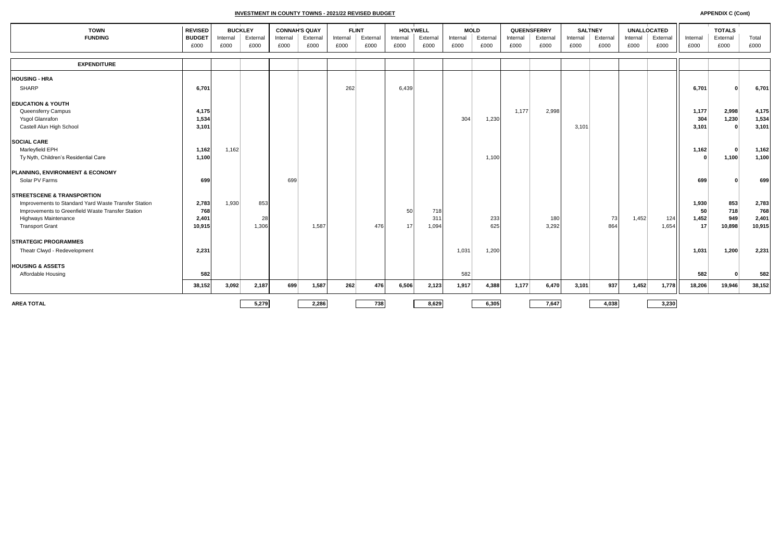**INVESTMENT IN COUNTY TOWNS - 2021/22 REVISED BUDGET APPENDIX C (Cont)**

| <b>TOWN</b>                                          | <b>REVISED</b>        | <b>BUCKLEY</b>   |                  | <b>CONNAH'S QUAY</b> |                  | <b>FLINT</b>     |                  |                  | <b>HOLYWELL</b>  | <b>MOLD</b>      |                  | QUEENSFERRY      |                  | <b>SALTNEY</b>   |                  | <b>UNALLOCATED</b> |                  |                  | <b>TOTALS</b>    |               |
|------------------------------------------------------|-----------------------|------------------|------------------|----------------------|------------------|------------------|------------------|------------------|------------------|------------------|------------------|------------------|------------------|------------------|------------------|--------------------|------------------|------------------|------------------|---------------|
| <b>FUNDING</b>                                       | <b>BUDGET</b><br>£000 | Internal<br>£000 | External<br>£000 | Internal<br>£000     | External<br>£000 | Internal<br>£000 | External<br>£000 | Internal<br>£000 | External<br>£000 | Internal<br>£000 | External<br>£000 | Internal<br>£000 | External<br>£000 | Internal<br>£000 | External<br>£000 | Internal<br>£000   | External<br>£000 | Internal<br>£000 | External<br>£000 | Total<br>£000 |
|                                                      |                       |                  |                  |                      |                  |                  |                  |                  |                  |                  |                  |                  |                  |                  |                  |                    |                  |                  |                  |               |
| <b>EXPENDITURE</b>                                   |                       |                  |                  |                      |                  |                  |                  |                  |                  |                  |                  |                  |                  |                  |                  |                    |                  |                  |                  |               |
| <b>HOUSING - HRA</b>                                 |                       |                  |                  |                      |                  |                  |                  |                  |                  |                  |                  |                  |                  |                  |                  |                    |                  |                  |                  |               |
| SHARP                                                | 6,701                 |                  |                  |                      |                  | 262              |                  | 6,439            |                  |                  |                  |                  |                  |                  |                  |                    |                  | 6,701            |                  | 6,701         |
| <b>EDUCATION &amp; YOUTH</b>                         |                       |                  |                  |                      |                  |                  |                  |                  |                  |                  |                  |                  |                  |                  |                  |                    |                  |                  |                  |               |
| Queensferry Campus                                   | 4,175                 |                  |                  |                      |                  |                  |                  |                  |                  |                  |                  | 1.177            | 2,998            |                  |                  |                    |                  | 1,177            | 2,998            | 4,175         |
| Ysgol Glanrafon                                      | 1,534                 |                  |                  |                      |                  |                  |                  |                  |                  | 304              | 1,230            |                  |                  |                  |                  |                    |                  | 304              | 1,230            | 1,534         |
| Castell Alun High School                             | 3,101                 |                  |                  |                      |                  |                  |                  |                  |                  |                  |                  |                  |                  | 3,101            |                  |                    |                  | 3,101            | $\mathbf{r}$     | 3,101         |
| <b>SOCIAL CARE</b>                                   |                       |                  |                  |                      |                  |                  |                  |                  |                  |                  |                  |                  |                  |                  |                  |                    |                  |                  |                  |               |
| Marleyfield EPH                                      | 1,162                 | 1,162            |                  |                      |                  |                  |                  |                  |                  |                  |                  |                  |                  |                  |                  |                    |                  | 1,162            | $\Omega$         | 1,162         |
| Ty Nyth, Children's Residential Care                 | 1,100                 |                  |                  |                      |                  |                  |                  |                  |                  |                  | 1,100            |                  |                  |                  |                  |                    |                  | $\Omega$         | 1,100            | 1,100         |
| PLANNING, ENVIRONMENT & ECONOMY                      |                       |                  |                  |                      |                  |                  |                  |                  |                  |                  |                  |                  |                  |                  |                  |                    |                  |                  |                  |               |
| Solar PV Farms                                       | 699                   |                  |                  | 699                  |                  |                  |                  |                  |                  |                  |                  |                  |                  |                  |                  |                    |                  | 699              |                  | 699           |
| <b>STREETSCENE &amp; TRANSPORTION</b>                |                       |                  |                  |                      |                  |                  |                  |                  |                  |                  |                  |                  |                  |                  |                  |                    |                  |                  |                  |               |
| Improvements to Standard Yard Waste Transfer Station | 2,783                 | 1,930            | 853              |                      |                  |                  |                  |                  |                  |                  |                  |                  |                  |                  |                  |                    |                  | 1,930            | 853              | 2,783         |
| Improvements to Greenfield Waste Transfer Station    | 768                   |                  |                  |                      |                  |                  |                  | 50               | 718              |                  |                  |                  |                  |                  |                  |                    |                  | 50               | 718              | 768           |
| <b>Highways Maintenance</b>                          | 2,401                 |                  | 28               |                      |                  |                  |                  |                  | 311              |                  | 233              |                  | 180              |                  | 73               | 1,452              | 124              | 1,452            | 949              | 2,401         |
| <b>Transport Grant</b>                               | 10,915                |                  | 1,306            |                      | 1,587            |                  | 476              | 17               | 1,094            |                  | 625              |                  | 3,292            |                  | 864              |                    | 1,654            | 17               | 10,898           | 10,915        |
| <b>STRATEGIC PROGRAMMES</b>                          |                       |                  |                  |                      |                  |                  |                  |                  |                  |                  |                  |                  |                  |                  |                  |                    |                  |                  |                  |               |
| Theatr Clwyd - Redevelopment                         | 2,231                 |                  |                  |                      |                  |                  |                  |                  |                  | 1,031            | 1,200            |                  |                  |                  |                  |                    |                  | 1,031            | 1,200            | 2,231         |
| <b>HOUSING &amp; ASSETS</b>                          |                       |                  |                  |                      |                  |                  |                  |                  |                  |                  |                  |                  |                  |                  |                  |                    |                  |                  |                  |               |
| Affordable Housing                                   | 582                   |                  |                  |                      |                  |                  |                  |                  |                  | 582              |                  |                  |                  |                  |                  |                    |                  | 582              |                  | 582           |
|                                                      | 38,152                | 3,092            | 2,187            | 699                  | 1,587            | 262              | 476              | 6,506            | 2,123            | 1,917            | 4,388            | 1,177            | 6,470            | 3,101            | 937              | 1,452              | 1,778            | 18,206           | 19,946           | 38,152        |
| <b>AREA TOTAL</b>                                    |                       |                  | 5,279            |                      | 2,286            |                  | 738              |                  | 8,629            |                  | 6,305            |                  | 7,647            |                  | 4,038            |                    | 3,230            |                  |                  |               |
|                                                      |                       |                  |                  |                      |                  |                  |                  |                  |                  |                  |                  |                  |                  |                  |                  |                    |                  |                  |                  |               |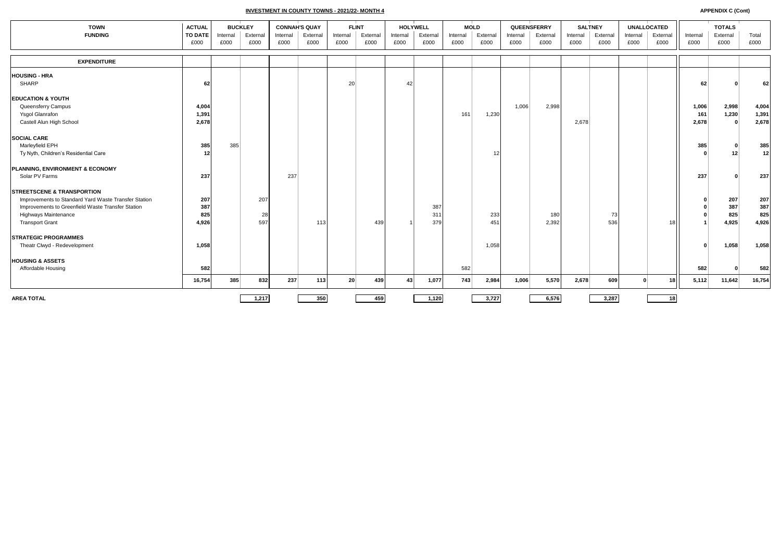**INVESTMENT IN COUNTY TOWNS - 2021/22- MONTH 4**

| <b>TOWN</b>                                          | <b>ACTUAL</b>          | <b>BUCKLEY</b>   |                  | <b>CONNAH'S QUAY</b> |                  | <b>FLINT</b>     |                  |                  | HOLYWELL         | <b>MOLD</b>      |                  | QUEENSFERRY      |                  | <b>SALTNEY</b>   |                  | <b>UNALLOCATED</b> |                  |                  | <b>TOTALS</b>    |               |
|------------------------------------------------------|------------------------|------------------|------------------|----------------------|------------------|------------------|------------------|------------------|------------------|------------------|------------------|------------------|------------------|------------------|------------------|--------------------|------------------|------------------|------------------|---------------|
| <b>FUNDING</b>                                       | <b>TO DATE</b><br>£000 | Internal<br>£000 | External<br>£000 | Internal<br>£000     | External<br>£000 | Internal<br>£000 | External<br>£000 | Internal<br>£000 | External<br>£000 | Internal<br>£000 | External<br>£000 | Internal<br>£000 | External<br>£000 | Internal<br>£000 | External<br>£000 | Internal<br>£000   | External<br>£000 | Internal<br>£000 | External<br>£000 | Total<br>£000 |
|                                                      |                        |                  |                  |                      |                  |                  |                  |                  |                  |                  |                  |                  |                  |                  |                  |                    |                  |                  |                  |               |
| <b>EXPENDITURE</b>                                   |                        |                  |                  |                      |                  |                  |                  |                  |                  |                  |                  |                  |                  |                  |                  |                    |                  |                  |                  |               |
| <b>HOUSING - HRA</b>                                 |                        |                  |                  |                      |                  |                  |                  |                  |                  |                  |                  |                  |                  |                  |                  |                    |                  |                  |                  |               |
| <b>SHARP</b>                                         | 62                     |                  |                  |                      |                  | 20               |                  | 42               |                  |                  |                  |                  |                  |                  |                  |                    |                  | 62               |                  | 62            |
| <b>EDUCATION &amp; YOUTH</b>                         |                        |                  |                  |                      |                  |                  |                  |                  |                  |                  |                  |                  |                  |                  |                  |                    |                  |                  |                  |               |
| Queensferry Campus                                   | 4,004                  |                  |                  |                      |                  |                  |                  |                  |                  |                  |                  | 1,006            | 2,998            |                  |                  |                    |                  | 1,006            | 2,998            | 4,004         |
| <b>Ysgol Glanrafon</b>                               | 1,391                  |                  |                  |                      |                  |                  |                  |                  |                  | 161              | 1,230            |                  |                  |                  |                  |                    |                  | 161              | 1,230            | 1,391         |
| Castell Alun High School                             | 2,678                  |                  |                  |                      |                  |                  |                  |                  |                  |                  |                  |                  |                  | 2,678            |                  |                    |                  | 2,678            | - 0              | 2,678         |
| <b>SOCIAL CARE</b>                                   |                        |                  |                  |                      |                  |                  |                  |                  |                  |                  |                  |                  |                  |                  |                  |                    |                  |                  |                  |               |
| Marleyfield EPH                                      | 385                    | 385              |                  |                      |                  |                  |                  |                  |                  |                  |                  |                  |                  |                  |                  |                    |                  | 385              |                  | 385           |
| Ty Nyth, Children's Residential Care                 | 12                     |                  |                  |                      |                  |                  |                  |                  |                  |                  | 12               |                  |                  |                  |                  |                    |                  |                  | 12               | 12            |
| PLANNING, ENVIRONMENT & ECONOMY                      |                        |                  |                  |                      |                  |                  |                  |                  |                  |                  |                  |                  |                  |                  |                  |                    |                  |                  |                  |               |
| Solar PV Farms                                       | 237                    |                  |                  | 237                  |                  |                  |                  |                  |                  |                  |                  |                  |                  |                  |                  |                    |                  | 237              |                  | 237           |
| <b>STREETSCENE &amp; TRANSPORTION</b>                |                        |                  |                  |                      |                  |                  |                  |                  |                  |                  |                  |                  |                  |                  |                  |                    |                  |                  |                  |               |
| Improvements to Standard Yard Waste Transfer Station | 207                    |                  | 207              |                      |                  |                  |                  |                  |                  |                  |                  |                  |                  |                  |                  |                    |                  | n                | 207              | 207           |
| Improvements to Greenfield Waste Transfer Station    | 387                    |                  |                  |                      |                  |                  |                  |                  | 387              |                  |                  |                  |                  |                  |                  |                    |                  |                  | 387              | 387           |
| <b>Highways Maintenance</b>                          | 825                    |                  | 28               |                      |                  |                  |                  |                  | 311              |                  | 233              |                  | 180              |                  | 73               |                    |                  |                  | 825              | 825           |
| <b>Transport Grant</b>                               | 4,926                  |                  | 597              |                      | 113              |                  | 439              |                  | 379              |                  | 451              |                  | 2,392            |                  | 536              |                    | 18               |                  | 4,925            | 4,926         |
| <b>STRATEGIC PROGRAMMES</b>                          |                        |                  |                  |                      |                  |                  |                  |                  |                  |                  |                  |                  |                  |                  |                  |                    |                  |                  |                  |               |
| Theatr Clwyd - Redevelopment                         | 1,058                  |                  |                  |                      |                  |                  |                  |                  |                  |                  | 1,058            |                  |                  |                  |                  |                    |                  | $\Omega$         | 1,058            | 1,058         |
| <b>HOUSING &amp; ASSETS</b>                          |                        |                  |                  |                      |                  |                  |                  |                  |                  |                  |                  |                  |                  |                  |                  |                    |                  |                  |                  |               |
| Affordable Housing                                   | 582                    |                  |                  |                      |                  |                  |                  |                  |                  | 582              |                  |                  |                  |                  |                  |                    |                  | 582              |                  | 582           |
|                                                      | 16,754                 | 385              | 832              | 237                  | 113              | 20               | 439              | 43               | 1,077            | 743              | 2,984            | 1,006            | 5,570            | 2,678            | 609              | $\mathbf{0}$       | 18               | 5,112            | 11,642           | 16,754        |
| <b>AREA TOTAL</b>                                    |                        |                  | 1,217            |                      | 350              |                  | 459              |                  | 1,120            |                  | 3,727            |                  | 6,576            |                  | 3,287            |                    | 18               |                  |                  |               |
|                                                      |                        |                  |                  |                      |                  |                  |                  |                  |                  |                  |                  |                  |                  |                  |                  |                    |                  |                  |                  |               |

**APPENDIX C (Cont)**